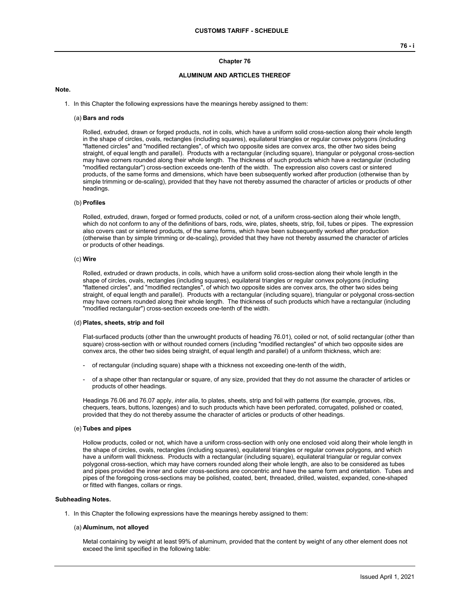## **Chapter 76**

# **ALUMINUM AND ARTICLES THEREOF**

#### **Note.**

1. In this Chapter the following expressions have the meanings hereby assigned to them:

#### (a) **Bars and rods**

Rolled, extruded, drawn or forged products, not in coils, which have a uniform solid cross-section along their whole length in the shape of circles, ovals, rectangles (including squares), equilateral triangles or regular convex polygons (including "flattened circles" and "modified rectangles", of which two opposite sides are convex arcs, the other two sides being straight, of equal length and parallel). Products with a rectangular (including square), triangular or polygonal cross-section may have corners rounded along their whole length. The thickness of such products which have a rectangular (including "modified rectangular") cross-section exceeds one-tenth of the width. The expression also covers cast or sintered products, of the same forms and dimensions, which have been subsequently worked after production (otherwise than by simple trimming or de-scaling), provided that they have not thereby assumed the character of articles or products of other headings.

### (b) **Profiles**

Rolled, extruded, drawn, forged or formed products, coiled or not, of a uniform cross-section along their whole length, which do not conform to any of the definitions of bars, rods, wire, plates, sheets, strip, foil, tubes or pipes. The expression also covers cast or sintered products, of the same forms, which have been subsequently worked after production (otherwise than by simple trimming or de-scaling), provided that they have not thereby assumed the character of articles or products of other headings.

#### (c) **Wire**

Rolled, extruded or drawn products, in coils, which have a uniform solid cross-section along their whole length in the shape of circles, ovals, rectangles (including squares), equilateral triangles or regular convex polygons (including "flattened circles", and "modified rectangles", of which two opposite sides are convex arcs, the other two sides being straight, of equal length and parallel). Products with a rectangular (including square), triangular or polygonal cross-section may have corners rounded along their whole length. The thickness of such products which have a rectangular (including "modified rectangular") cross-section exceeds one-tenth of the width.

#### (d) **Plates, sheets, strip and foil**

Flat-surfaced products (other than the unwrought products of heading 76.01), coiled or not, of solid rectangular (other than square) cross-section with or without rounded corners (including "modified rectangles" of which two opposite sides are convex arcs, the other two sides being straight, of equal length and parallel) of a uniform thickness, which are:

- of rectangular (including square) shape with a thickness not exceeding one-tenth of the width,
- of a shape other than rectangular or square, of any size, provided that they do not assume the character of articles or products of other headings.

Headings 76.06 and 76.07 apply, *inter alia*, to plates, sheets, strip and foil with patterns (for example, grooves, ribs, chequers, tears, buttons, lozenges) and to such products which have been perforated, corrugated, polished or coated, provided that they do not thereby assume the character of articles or products of other headings.

#### (e) **Tubes and pipes**

Hollow products, coiled or not, which have a uniform cross-section with only one enclosed void along their whole length in the shape of circles, ovals, rectangles (including squares), equilateral triangles or regular convex polygons, and which have a uniform wall thickness. Products with a rectangular (including square), equilateral triangular or regular convex polygonal cross-section, which may have corners rounded along their whole length, are also to be considered as tubes and pipes provided the inner and outer cross-sections are concentric and have the same form and orientation. Tubes and pipes of the foregoing cross-sections may be polished, coated, bent, threaded, drilled, waisted, expanded, cone-shaped or fitted with flanges, collars or rings.

#### **Subheading Notes.**

1. In this Chapter the following expressions have the meanings hereby assigned to them:

#### (a) **Aluminum, not alloyed**

Metal containing by weight at least 99% of aluminum, provided that the content by weight of any other element does not exceed the limit specified in the following table: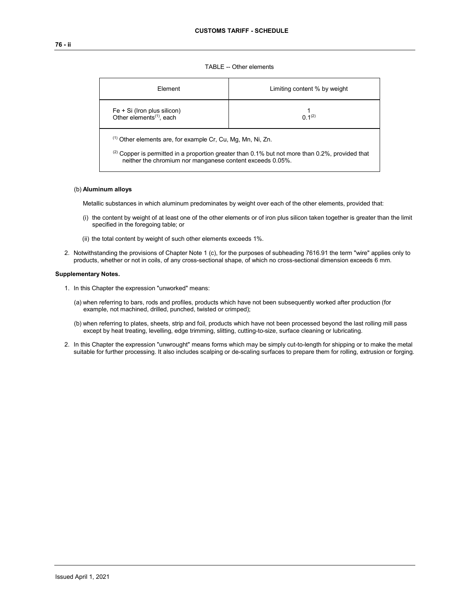TABLE -- Other elements

| Flement                                                                                                                                                                                                                            | Limiting content % by weight |  |  |  |  |
|------------------------------------------------------------------------------------------------------------------------------------------------------------------------------------------------------------------------------------|------------------------------|--|--|--|--|
| $Fe + Si$ (Iron plus silicon)<br>Other elements <sup>(1)</sup> , each                                                                                                                                                              | $0.1^{(2)}$                  |  |  |  |  |
| $(1)$ Other elements are, for example Cr, Cu, Mg, Mn, Ni, Zn.<br>$^{(2)}$ Copper is permitted in a proportion greater than 0.1% but not more than 0.2%, provided that<br>neither the chromium nor manganese content exceeds 0.05%. |                              |  |  |  |  |

# (b) **Aluminum alloys**

Metallic substances in which aluminum predominates by weight over each of the other elements, provided that:

- (i) the content by weight of at least one of the other elements or of iron plus silicon taken together is greater than the limit specified in the foregoing table; or
- (ii) the total content by weight of such other elements exceeds 1%.
- 2. Notwithstanding the provisions of Chapter Note 1 (c), for the purposes of subheading 7616.91 the term "wire" applies only to products, whether or not in coils, of any cross-sectional shape, of which no cross-sectional dimension exceeds 6 mm.

## **Supplementary Notes.**

- 1. In this Chapter the expression "unworked" means:
	- (a) when referring to bars, rods and profiles, products which have not been subsequently worked after production (for example, not machined, drilled, punched, twisted or crimped);
	- (b) when referring to plates, sheets, strip and foil, products which have not been processed beyond the last rolling mill pass except by heat treating, levelling, edge trimming, slitting, cutting-to-size, surface cleaning or lubricating.
- 2. In this Chapter the expression "unwrought" means forms which may be simply cut-to-length for shipping or to make the metal suitable for further processing. It also includes scalping or de-scaling surfaces to prepare them for rolling, extrusion or forging.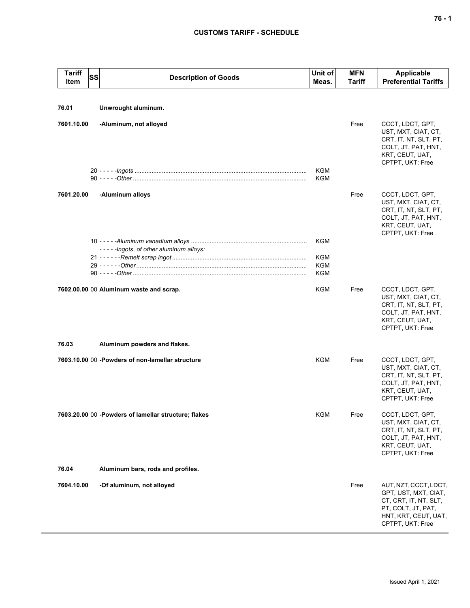# **CUSTOMS TARIFF - SCHEDULE**

| <b>Tariff</b><br>Item | SS<br><b>Description of Goods</b>                     | Unit of<br>Meas.                | <b>MFN</b><br><b>Tariff</b> | <b>Applicable</b><br><b>Preferential Tariffs</b>                                                                                         |
|-----------------------|-------------------------------------------------------|---------------------------------|-----------------------------|------------------------------------------------------------------------------------------------------------------------------------------|
| 76.01                 | Unwrought aluminum.                                   |                                 |                             |                                                                                                                                          |
| 7601.10.00            | -Aluminum, not alloyed                                |                                 | Free                        | CCCT, LDCT, GPT,<br>UST, MXT, CIAT, CT,<br>CRT, IT, NT, SLT, PT,<br>COLT, JT, PAT, HNT,<br>KRT, CEUT, UAT,<br>CPTPT, UKT: Free           |
|                       |                                                       | <b>KGM</b><br>KGM               |                             |                                                                                                                                          |
| 7601.20.00            | -Aluminum alloys                                      |                                 | Free                        | CCCT, LDCT, GPT,<br>UST, MXT, CIAT, CT,<br>CRT, IT, NT, SLT, PT,<br>COLT, JT, PAT, HNT,<br>KRT, CEUT, UAT,<br>CPTPT, UKT: Free           |
|                       | -----lngots, of other aluminum alloys:                | <b>KGM</b>                      |                             |                                                                                                                                          |
|                       |                                                       | <b>KGM</b><br><b>KGM</b><br>KGM |                             |                                                                                                                                          |
|                       | 7602.00.00 00 Aluminum waste and scrap.               | KGM                             | Free                        | CCCT, LDCT, GPT,<br>UST, MXT, CIAT, CT,<br>CRT, IT, NT, SLT, PT,<br>COLT, JT, PAT, HNT,<br>KRT, CEUT, UAT,<br>CPTPT, UKT: Free           |
| 76.03                 | Aluminum powders and flakes.                          |                                 |                             |                                                                                                                                          |
|                       | 7603.10.00 00 - Powders of non-lamellar structure     | <b>KGM</b>                      | Free                        | CCCT, LDCT, GPT,<br>UST, MXT, CIAT, CT,<br>CRT, IT, NT, SLT, PT,<br>COLT, JT, PAT, HNT,<br>KRT, CEUT, UAT,<br>CPTPT, UKT: Free           |
|                       | 7603.20.00 00 - Powders of lamellar structure; flakes | KGM                             | Free                        | CCCT, LDCT, GPT,<br>UST, MXT, CIAT, CT,<br>CRT, IT, NT, SLT, PT,<br>COLT, JT, PAT, HNT,<br>KRT, CEUT, UAT,<br>CPTPT, UKT: Free           |
| 76.04                 | Aluminum bars, rods and profiles.                     |                                 |                             |                                                                                                                                          |
| 7604.10.00            | -Of aluminum, not alloyed                             |                                 | Free                        | AUT, NZT, CCCT, LDCT,<br>GPT, UST, MXT, CIAT,<br>CT, CRT, IT, NT, SLT,<br>PT, COLT, JT, PAT,<br>HNT, KRT, CEUT, UAT,<br>CPTPT, UKT: Free |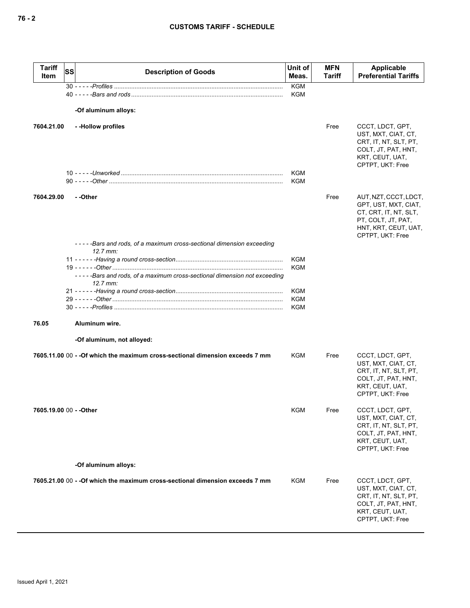| <b>Tariff</b><br>Item   | <b>SS</b> | <b>Description of Goods</b>                                                                   | Unit of<br>Meas.  | <b>MFN</b><br>Tariff | Applicable<br><b>Preferential Tariffs</b>                                                                                                |
|-------------------------|-----------|-----------------------------------------------------------------------------------------------|-------------------|----------------------|------------------------------------------------------------------------------------------------------------------------------------------|
|                         |           |                                                                                               | <b>KGM</b><br>KGM |                      |                                                                                                                                          |
|                         |           |                                                                                               |                   |                      |                                                                                                                                          |
|                         |           | -Of aluminum alloys:                                                                          |                   |                      |                                                                                                                                          |
| 7604.21.00              |           | --Hollow profiles                                                                             |                   | Free                 | CCCT, LDCT, GPT,<br>UST, MXT, CIAT, CT,<br>CRT, IT, NT, SLT, PT,<br>COLT, JT, PAT, HNT,<br>KRT, CEUT, UAT,<br>CPTPT, UKT: Free           |
|                         |           |                                                                                               | KGM<br><b>KGM</b> |                      |                                                                                                                                          |
| 7604.29.00              |           | - -Other                                                                                      |                   | Free                 | AUT, NZT, CCCT, LDCT,<br>GPT, UST, MXT, CIAT,<br>CT, CRT, IT, NT, SLT,<br>PT, COLT, JT, PAT,<br>HNT, KRT, CEUT, UAT,<br>CPTPT, UKT: Free |
|                         |           | -----Bars and rods, of a maximum cross-sectional dimension exceeding<br>$12.7 \, \text{mm}$ : |                   |                      |                                                                                                                                          |
|                         |           |                                                                                               | <b>KGM</b>        |                      |                                                                                                                                          |
|                         |           | -----Bars and rods, of a maximum cross-sectional dimension not exceeding<br>$12.7$ mm:        | <b>KGM</b>        |                      |                                                                                                                                          |
|                         |           |                                                                                               | <b>KGM</b>        |                      |                                                                                                                                          |
|                         |           |                                                                                               | KGM<br><b>KGM</b> |                      |                                                                                                                                          |
| 76.05                   |           | Aluminum wire.                                                                                |                   |                      |                                                                                                                                          |
|                         |           | -Of aluminum, not alloyed:                                                                    |                   |                      |                                                                                                                                          |
|                         |           | 7605.11.00 00 - -Of which the maximum cross-sectional dimension exceeds 7 mm                  | <b>KGM</b>        | Free                 | CCCT, LDCT, GPT,<br>UST, MXT, CIAT, CT,<br>CRT, IT, NT, SLT, PT,<br>COLT, JT, PAT, HNT,<br>KRT, CEUT, UAT,<br>CPTPT, UKT: Free           |
| 7605.19.00 00 - - Other |           |                                                                                               | <b>KGM</b>        | Free                 | CCCT, LDCT, GPT,<br>UST, MXT, CIAT, CT,<br>CRT, IT, NT, SLT, PT,<br>COLT, JT, PAT, HNT,<br>KRT, CEUT, UAT,<br>CPTPT, UKT: Free           |
|                         |           | -Of aluminum alloys:                                                                          |                   |                      |                                                                                                                                          |
|                         |           | 7605.21.00 00 - - Of which the maximum cross-sectional dimension exceeds 7 mm                 | KGM               | Free                 | CCCT, LDCT, GPT,<br>UST, MXT, CIAT, CT,<br>CRT, IT, NT, SLT, PT,<br>COLT, JT, PAT, HNT,<br>KRT, CEUT, UAT,<br>CPTPT, UKT: Free           |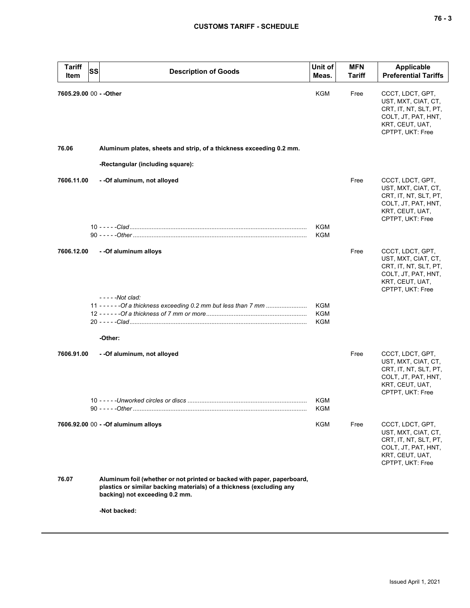| Tariff<br>Item          | <b>SS</b> | <b>Description of Goods</b>                                                                                                                                                       | Unit of<br>Meas.  | <b>MFN</b><br>Tariff | Applicable<br><b>Preferential Tariffs</b>                                                                                      |
|-------------------------|-----------|-----------------------------------------------------------------------------------------------------------------------------------------------------------------------------------|-------------------|----------------------|--------------------------------------------------------------------------------------------------------------------------------|
| 7605.29.00 00 - - Other |           |                                                                                                                                                                                   | <b>KGM</b>        | Free                 | CCCT, LDCT, GPT,<br>UST, MXT, CIAT, CT,<br>CRT, IT, NT, SLT, PT,<br>COLT, JT, PAT, HNT,<br>KRT, CEUT, UAT,<br>CPTPT, UKT: Free |
| 76.06                   |           | Aluminum plates, sheets and strip, of a thickness exceeding 0.2 mm.                                                                                                               |                   |                      |                                                                                                                                |
|                         |           | -Rectangular (including square):                                                                                                                                                  |                   |                      |                                                                                                                                |
| 7606.11.00              |           | - - Of aluminum, not alloyed                                                                                                                                                      |                   | Free                 | CCCT, LDCT, GPT,<br>UST, MXT, CIAT, CT,<br>CRT, IT, NT, SLT, PT,<br>COLT, JT, PAT, HNT,<br>KRT, CEUT, UAT,<br>CPTPT, UKT: Free |
|                         |           |                                                                                                                                                                                   | KGM<br><b>KGM</b> |                      |                                                                                                                                |
| 7606.12.00              |           | - - Of aluminum alloys                                                                                                                                                            |                   | Free                 | CCCT, LDCT, GPT,<br>UST, MXT, CIAT, CT,<br>CRT, IT, NT, SLT, PT,<br>COLT, JT, PAT, HNT,<br>KRT, CEUT, UAT,<br>CPTPT, UKT: Free |
|                         |           | - - - - - Not clad:<br>11 - - - - - - Of a thickness exceeding 0.2 mm but less than 7 mm                                                                                          | KGM<br>KGM<br>KGM |                      |                                                                                                                                |
|                         |           | -Other:                                                                                                                                                                           |                   |                      |                                                                                                                                |
| 7606.91.00              |           | - - Of aluminum, not alloyed                                                                                                                                                      |                   | Free                 | CCCT, LDCT, GPT,<br>UST, MXT, CIAT, CT,<br>CRT, IT, NT, SLT, PT,<br>COLT, JT, PAT, HNT,<br>KRT, CEUT, UAT,<br>CPTPT, UKT: Free |
|                         |           |                                                                                                                                                                                   | KGM<br>KGM        |                      |                                                                                                                                |
|                         |           | 7606.92.00 00 - - Of aluminum alloys                                                                                                                                              | KGM               | Free                 | CCCT, LDCT, GPT,<br>UST, MXT, CIAT, CT,<br>CRT, IT, NT, SLT, PT,<br>COLT, JT, PAT, HNT,<br>KRT, CEUT, UAT,<br>CPTPT, UKT: Free |
| 76.07                   |           | Aluminum foil (whether or not printed or backed with paper, paperboard,<br>plastics or similar backing materials) of a thickness (excluding any<br>backing) not exceeding 0.2 mm. |                   |                      |                                                                                                                                |
|                         |           | -Not backed:                                                                                                                                                                      |                   |                      |                                                                                                                                |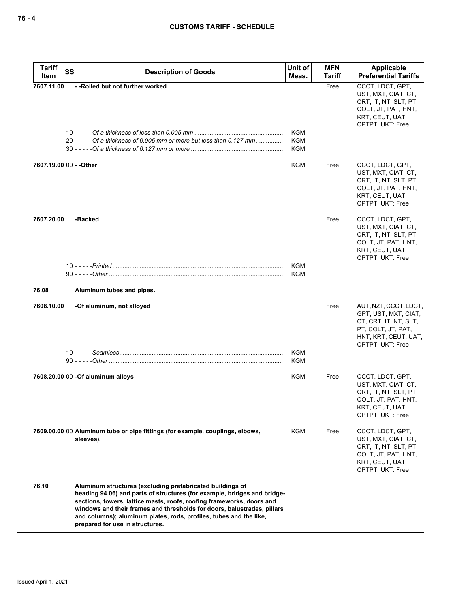| <b>Tariff</b><br>SS<br>Item | <b>Description of Goods</b>                                                                                                                                                                                                                                                                                                                                                                        | Unit of<br>Meas.                       | <b>MFN</b><br>Tariff | Applicable<br><b>Preferential Tariffs</b>                                                                                                |
|-----------------------------|----------------------------------------------------------------------------------------------------------------------------------------------------------------------------------------------------------------------------------------------------------------------------------------------------------------------------------------------------------------------------------------------------|----------------------------------------|----------------------|------------------------------------------------------------------------------------------------------------------------------------------|
| 7607.11.00                  | -- Rolled but not further worked<br>20 ----- - Of a thickness of 0.005 mm or more but less than 0.127 mm                                                                                                                                                                                                                                                                                           | <b>KGM</b><br><b>KGM</b><br><b>KGM</b> | Free                 | CCCT, LDCT, GPT,<br>UST, MXT, CIAT, CT,<br>CRT, IT, NT, SLT, PT,<br>COLT, JT, PAT, HNT,<br>KRT, CEUT, UAT,<br>CPTPT, UKT: Free           |
| 7607.19.00 00 - - Other     |                                                                                                                                                                                                                                                                                                                                                                                                    | <b>KGM</b>                             | Free                 | CCCT, LDCT, GPT,<br>UST, MXT, CIAT, CT,<br>CRT, IT, NT, SLT, PT,<br>COLT, JT, PAT, HNT,<br>KRT, CEUT, UAT,<br>CPTPT, UKT: Free           |
| 7607.20.00                  | -Backed                                                                                                                                                                                                                                                                                                                                                                                            |                                        | Free                 | CCCT, LDCT, GPT,<br>UST, MXT, CIAT, CT,<br>CRT, IT, NT, SLT, PT,<br>COLT, JT, PAT, HNT,<br>KRT, CEUT, UAT,<br>CPTPT, UKT: Free           |
|                             |                                                                                                                                                                                                                                                                                                                                                                                                    | <b>KGM</b><br><b>KGM</b>               |                      |                                                                                                                                          |
| 76.08                       | Aluminum tubes and pipes.                                                                                                                                                                                                                                                                                                                                                                          |                                        |                      |                                                                                                                                          |
| 7608.10.00                  | -Of aluminum, not alloyed                                                                                                                                                                                                                                                                                                                                                                          |                                        | Free                 | AUT, NZT, CCCT, LDCT,<br>GPT, UST, MXT, CIAT,<br>CT, CRT, IT, NT, SLT,<br>PT, COLT, JT, PAT,<br>HNT, KRT, CEUT, UAT,<br>CPTPT, UKT: Free |
|                             |                                                                                                                                                                                                                                                                                                                                                                                                    | <b>KGM</b><br>KGM                      |                      |                                                                                                                                          |
|                             | 7608.20.00 00 -Of aluminum alloys                                                                                                                                                                                                                                                                                                                                                                  | <b>KGM</b>                             | Free                 | CCCT, LDCT, GPT,<br>UST, MXT, CIAT, CT,<br>CRT, IT, NT, SLT, PT,<br>COLT, JT, PAT, HNT,<br>KRT, CEUT, UAT,<br>CPTPT, UKT: Free           |
|                             | 7609.00.00 00 Aluminum tube or pipe fittings (for example, couplings, elbows,<br>sleeves).                                                                                                                                                                                                                                                                                                         | KGM                                    | Free                 | CCCT, LDCT, GPT,<br>UST, MXT, CIAT, CT,<br>CRT, IT, NT, SLT, PT,<br>COLT, JT, PAT, HNT,<br>KRT, CEUT, UAT,<br>CPTPT, UKT: Free           |
| 76.10                       | Aluminum structures (excluding prefabricated buildings of<br>heading 94.06) and parts of structures (for example, bridges and bridge-<br>sections, towers, lattice masts, roofs, roofing frameworks, doors and<br>windows and their frames and thresholds for doors, balustrades, pillars<br>and columns); aluminum plates, rods, profiles, tubes and the like,<br>prepared for use in structures. |                                        |                      |                                                                                                                                          |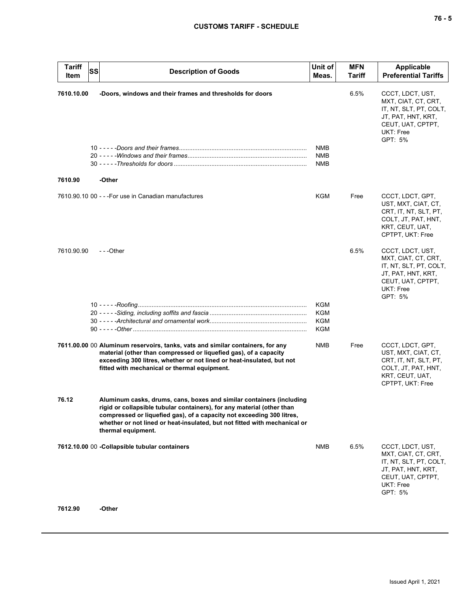| ×<br>۰.<br>× | ۰. |
|--------------|----|
|--------------|----|

| <b>Tariff</b><br>Item | SS | <b>Description of Goods</b>                                                                                                                                                                                                                                                                                                | Unit of<br>Meas.  | <b>MFN</b><br>Tariff | <b>Applicable</b><br><b>Preferential Tariffs</b>                                                                                     |
|-----------------------|----|----------------------------------------------------------------------------------------------------------------------------------------------------------------------------------------------------------------------------------------------------------------------------------------------------------------------------|-------------------|----------------------|--------------------------------------------------------------------------------------------------------------------------------------|
| 7610.10.00            |    | -Doors, windows and their frames and thresholds for doors                                                                                                                                                                                                                                                                  | NMB<br><b>NMB</b> | 6.5%                 | CCCT, LDCT, UST,<br>MXT, CIAT, CT, CRT,<br>IT, NT, SLT, PT, COLT,<br>JT, PAT, HNT, KRT,<br>CEUT, UAT, CPTPT,<br>UKT: Free<br>GPT: 5% |
|                       |    |                                                                                                                                                                                                                                                                                                                            | <b>NMB</b>        |                      |                                                                                                                                      |
| 7610.90               |    | -Other                                                                                                                                                                                                                                                                                                                     |                   |                      |                                                                                                                                      |
|                       |    | 7610.90.10 00 - - - For use in Canadian manufactures                                                                                                                                                                                                                                                                       | KGM               | Free                 | CCCT, LDCT, GPT,<br>UST, MXT, CIAT, CT,<br>CRT, IT, NT, SLT, PT,<br>COLT, JT, PAT, HNT,<br>KRT, CEUT, UAT,<br>CPTPT, UKT: Free       |
| 7610.90.90            |    | $-$ - -Other                                                                                                                                                                                                                                                                                                               |                   | 6.5%                 | CCCT, LDCT, UST,<br>MXT, CIAT, CT, CRT,<br>IT, NT, SLT, PT, COLT,<br>JT, PAT, HNT, KRT,<br>CEUT, UAT, CPTPT,<br>UKT: Free<br>GPT: 5% |
|                       |    |                                                                                                                                                                                                                                                                                                                            | <b>KGM</b>        |                      |                                                                                                                                      |
|                       |    |                                                                                                                                                                                                                                                                                                                            | KGM<br>KGM        |                      |                                                                                                                                      |
|                       |    |                                                                                                                                                                                                                                                                                                                            | KGM               |                      |                                                                                                                                      |
|                       |    | 7611.00.00 00 Aluminum reservoirs, tanks, vats and similar containers, for any<br>material (other than compressed or liquefied gas), of a capacity<br>exceeding 300 litres, whether or not lined or heat-insulated, but not<br>fitted with mechanical or thermal equipment.                                                | <b>NMB</b>        | Free                 | CCCT, LDCT, GPT,<br>UST, MXT, CIAT, CT,<br>CRT, IT, NT, SLT, PT,<br>COLT, JT, PAT, HNT,<br>KRT, CEUT, UAT,<br>CPTPT, UKT: Free       |
| 76.12                 |    | Aluminum casks, drums, cans, boxes and similar containers (including<br>rigid or collapsible tubular containers), for any material (other than<br>compressed or liquefied gas), of a capacity not exceeding 300 litres,<br>whether or not lined or heat-insulated, but not fitted with mechanical or<br>thermal equipment. |                   |                      |                                                                                                                                      |
|                       |    | 7612.10.00 00 - Collapsible tubular containers                                                                                                                                                                                                                                                                             | <b>NMB</b>        | 6.5%                 | CCCT, LDCT, UST,<br>MXT, CIAT, CT, CRT,<br>IT, NT, SLT, PT, COLT,<br>JT, PAT, HNT, KRT,<br>CEUT, UAT, CPTPT,<br>UKT: Free<br>GPT: 5% |
| <b>7042.00</b>        |    | <b>Other</b>                                                                                                                                                                                                                                                                                                               |                   |                      |                                                                                                                                      |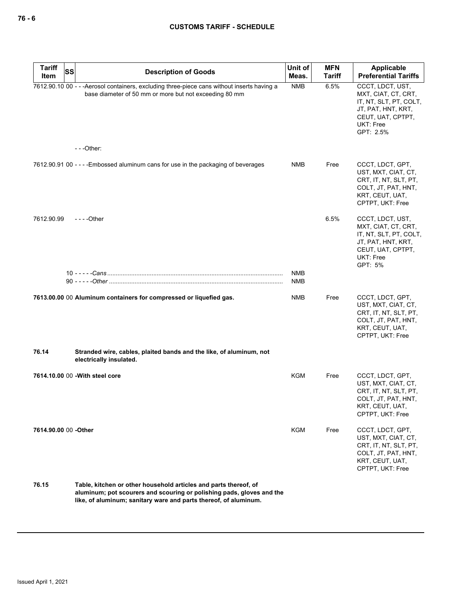| <b>Tariff</b><br>Item | <b>SS</b> | <b>Description of Goods</b>                                                                                                                           | Unit of<br>Meas. | <b>MFN</b><br><b>Tariff</b> | Applicable<br><b>Preferential Tariffs</b>                                                                                              |
|-----------------------|-----------|-------------------------------------------------------------------------------------------------------------------------------------------------------|------------------|-----------------------------|----------------------------------------------------------------------------------------------------------------------------------------|
|                       |           | 7612.90.10 00 - - - Aerosol containers, excluding three-piece cans without inserts having a<br>base diameter of 50 mm or more but not exceeding 80 mm | <b>NMB</b>       | 6.5%                        | CCCT, LDCT, UST,<br>MXT, CIAT, CT, CRT,<br>IT, NT, SLT, PT, COLT,<br>JT, PAT, HNT, KRT,<br>CEUT, UAT, CPTPT,<br>UKT: Free<br>GPT: 2.5% |
|                       |           | $--$ Other:                                                                                                                                           |                  |                             |                                                                                                                                        |
|                       |           | 7612.90.91 00 - - - - Embossed aluminum cans for use in the packaging of beverages                                                                    | <b>NMB</b>       | Free                        | CCCT, LDCT, GPT,<br>UST, MXT, CIAT, CT,<br>CRT, IT, NT, SLT, PT,<br>COLT, JT, PAT, HNT,<br>KRT, CEUT, UAT,<br>CPTPT, UKT: Free         |
| 7612.90.99            |           | $--$ Other                                                                                                                                            |                  | 6.5%                        | CCCT, LDCT, UST,<br>MXT, CIAT, CT, CRT,<br>IT, NT, SLT, PT, COLT,<br>JT, PAT, HNT, KRT,<br>CEUT, UAT, CPTPT,<br>UKT: Free<br>GPT: 5%   |
|                       |           |                                                                                                                                                       | <b>NMB</b>       |                             |                                                                                                                                        |
|                       |           |                                                                                                                                                       | NMB              |                             |                                                                                                                                        |
|                       |           | 7613.00.00 00 Aluminum containers for compressed or liquefied gas.                                                                                    | <b>NMB</b>       | Free                        | CCCT, LDCT, GPT,<br>UST, MXT, CIAT, CT,<br>CRT, IT, NT, SLT, PT,<br>COLT, JT, PAT, HNT,<br>KRT, CEUT, UAT,<br>CPTPT, UKT: Free         |
| 76.14                 |           | Stranded wire, cables, plaited bands and the like, of aluminum, not<br>electrically insulated.                                                        |                  |                             |                                                                                                                                        |
|                       |           | 7614.10.00 00 - With steel core                                                                                                                       | KGM              | Free                        | CCCT, LDCT, GPT,<br>UST, MXT, CIAT, CT,<br>CRT, IT, NT, SLT, PT,<br>COLT, JT, PAT, HNT,<br>KRT, CEUT, UAT,<br>CPTPT, UKT: Free         |
| 7614.90.00 00 - Other |           |                                                                                                                                                       | KGM              | Free                        | CCCT, LDCT, GPT,<br>UST, MXT, CIAT, CT,<br>CRT, IT, NT, SLT, PT,<br>COLT, JT, PAT, HNT,<br>KRT, CEUT, UAT,<br>CPTPT, UKT: Free         |
| 76.15                 |           | Table, kitchen or other household articles and parts thereof, of<br>aluminum; not scourars and scouring or polishing pads, gloves and the             |                  |                             |                                                                                                                                        |

**aluminum; pot scourers and scouring or polishing pads, gloves and the like, of aluminum; sanitary ware and parts thereof, of aluminum.**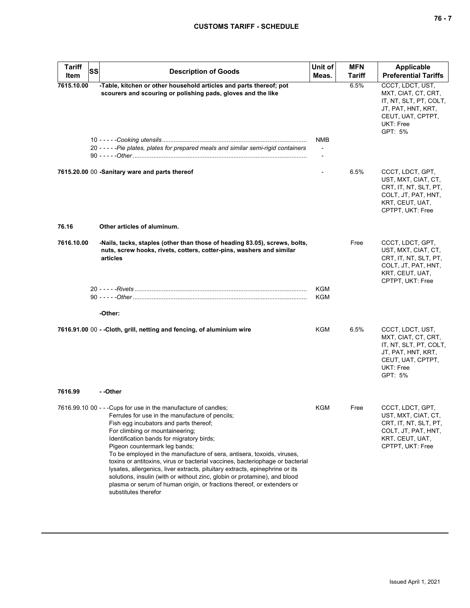# **CUSTOMS TARIFF - SCHEDULE**

| <b>Tariff</b><br>Item | <b>SS</b><br><b>Description of Goods</b>                                                                                                                                                                                                                                                                                                                                                                                                                                                                                                                                                                                                                                                                | Unit of<br>Meas.                        | <b>MFN</b><br>Tariff | Applicable<br><b>Preferential Tariffs</b>                                                                                            |
|-----------------------|---------------------------------------------------------------------------------------------------------------------------------------------------------------------------------------------------------------------------------------------------------------------------------------------------------------------------------------------------------------------------------------------------------------------------------------------------------------------------------------------------------------------------------------------------------------------------------------------------------------------------------------------------------------------------------------------------------|-----------------------------------------|----------------------|--------------------------------------------------------------------------------------------------------------------------------------|
| 7615.10.00            | -Table, kitchen or other household articles and parts thereof; pot<br>scourers and scouring or polishing pads, gloves and the like                                                                                                                                                                                                                                                                                                                                                                                                                                                                                                                                                                      |                                         | 6.5%                 | CCCT, LDCT, UST,<br>MXT, CIAT, CT, CRT,<br>IT, NT, SLT, PT, COLT,<br>JT, PAT, HNT, KRT,<br>CEUT, UAT, CPTPT,<br>UKT: Free<br>GPT: 5% |
|                       | 20 - - - - - Pie plates, plates for prepared meals and similar semi-rigid containers                                                                                                                                                                                                                                                                                                                                                                                                                                                                                                                                                                                                                    | NMB<br>$\blacksquare$<br>$\blacksquare$ |                      |                                                                                                                                      |
|                       | 7615.20.00 00 -Sanitary ware and parts thereof                                                                                                                                                                                                                                                                                                                                                                                                                                                                                                                                                                                                                                                          |                                         | 6.5%                 | CCCT, LDCT, GPT,<br>UST, MXT, CIAT, CT,<br>CRT, IT, NT, SLT, PT,<br>COLT, JT, PAT, HNT,<br>KRT, CEUT, UAT,<br>CPTPT, UKT: Free       |
| 76.16                 | Other articles of aluminum.                                                                                                                                                                                                                                                                                                                                                                                                                                                                                                                                                                                                                                                                             |                                         |                      |                                                                                                                                      |
| 7616.10.00            | -Nails, tacks, staples (other than those of heading 83.05), screws, bolts,<br>nuts, screw hooks, rivets, cotters, cotter-pins, washers and similar<br>articles                                                                                                                                                                                                                                                                                                                                                                                                                                                                                                                                          |                                         | Free                 | CCCT, LDCT, GPT,<br>UST, MXT, CIAT, CT,<br>CRT, IT, NT, SLT, PT,<br>COLT, JT, PAT, HNT,<br>KRT, CEUT, UAT,<br>CPTPT, UKT: Free       |
|                       |                                                                                                                                                                                                                                                                                                                                                                                                                                                                                                                                                                                                                                                                                                         | <b>KGM</b><br>KGM                       |                      |                                                                                                                                      |
|                       | -Other:                                                                                                                                                                                                                                                                                                                                                                                                                                                                                                                                                                                                                                                                                                 |                                         |                      |                                                                                                                                      |
|                       | 7616.91.00 00 - - Cloth, grill, netting and fencing, of aluminium wire                                                                                                                                                                                                                                                                                                                                                                                                                                                                                                                                                                                                                                  | <b>KGM</b>                              | 6.5%                 | CCCT, LDCT, UST,<br>MXT, CIAT, CT, CRT,<br>IT, NT, SLT, PT, COLT,<br>JT, PAT, HNT, KRT,<br>CEUT, UAT, CPTPT,<br>UKT: Free<br>GPT: 5% |
| 7616.99               | - -Other                                                                                                                                                                                                                                                                                                                                                                                                                                                                                                                                                                                                                                                                                                |                                         |                      |                                                                                                                                      |
|                       | 7616.99.10 00 - - - Cups for use in the manufacture of candles;<br>Ferrules for use in the manufacture of pencils;<br>Fish egg incubators and parts thereof;<br>For climbing or mountaineering;<br>Identification bands for migratory birds;<br>Pigeon countermark leg bands;<br>To be employed in the manufacture of sera, antisera, toxoids, viruses,<br>toxins or antitoxins, virus or bacterial vaccines, bacteriophage or bacterial<br>lysates, allergenics, liver extracts, pituitary extracts, epinephrine or its<br>solutions, insulin (with or without zinc, globin or protamine), and blood<br>plasma or serum of human origin, or fractions thereof, or extenders or<br>substitutes therefor | <b>KGM</b>                              | Free                 | CCCT, LDCT, GPT,<br>UST, MXT, CIAT, CT,<br>CRT, IT, NT, SLT, PT,<br>COLT, JT, PAT, HNT,<br>KRT, CEUT, UAT,<br>CPTPT, UKT: Free       |